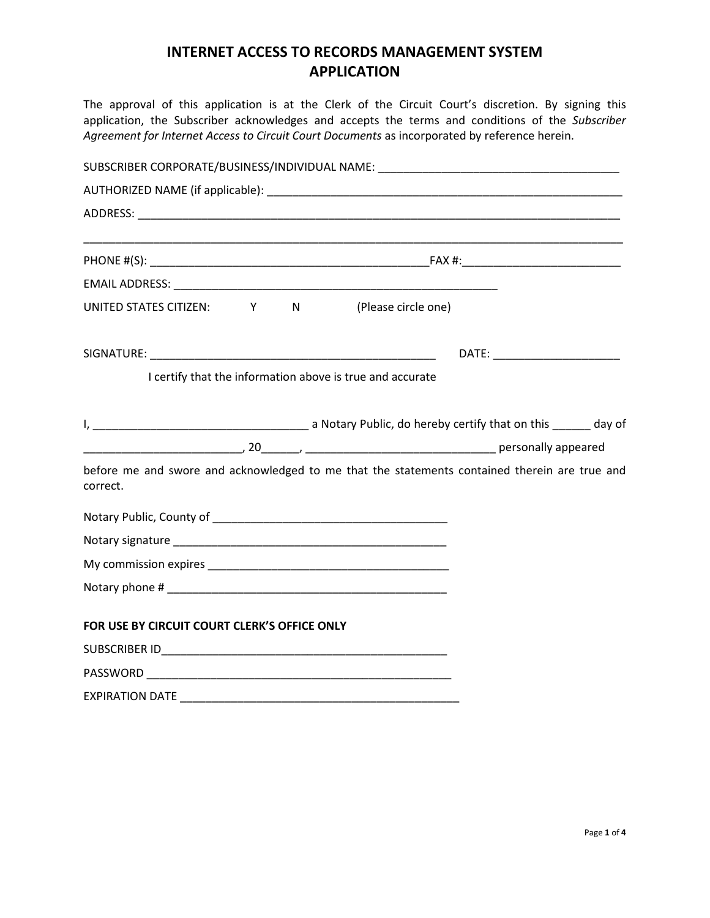## **INTERNET ACCESS TO RECORDS MANAGEMENT SYSTEM APPLICATION**

The approval of this application is at the Clerk of the Circuit Court's discretion. By signing this application, the Subscriber acknowledges and accepts the terms and conditions of the *Subscriber Agreement for Internet Access to Circuit Court Documents* as incorporated by reference herein.

|                                                |  |                                                           | SUBSCRIBER CORPORATE/BUSINESS/INDIVIDUAL NAME: _________________________________              |
|------------------------------------------------|--|-----------------------------------------------------------|-----------------------------------------------------------------------------------------------|
|                                                |  |                                                           |                                                                                               |
|                                                |  |                                                           |                                                                                               |
|                                                |  |                                                           |                                                                                               |
|                                                |  |                                                           |                                                                                               |
| UNITED STATES CITIZEN: Y N (Please circle one) |  |                                                           |                                                                                               |
|                                                |  |                                                           |                                                                                               |
|                                                |  | I certify that the information above is true and accurate |                                                                                               |
|                                                |  |                                                           |                                                                                               |
|                                                |  |                                                           |                                                                                               |
| correct.                                       |  |                                                           | before me and swore and acknowledged to me that the statements contained therein are true and |
|                                                |  |                                                           |                                                                                               |
|                                                |  |                                                           |                                                                                               |
|                                                |  |                                                           |                                                                                               |
|                                                |  |                                                           |                                                                                               |
| FOR USE BY CIRCUIT COURT CLERK'S OFFICE ONLY   |  |                                                           |                                                                                               |
|                                                |  |                                                           |                                                                                               |
|                                                |  |                                                           |                                                                                               |
|                                                |  |                                                           |                                                                                               |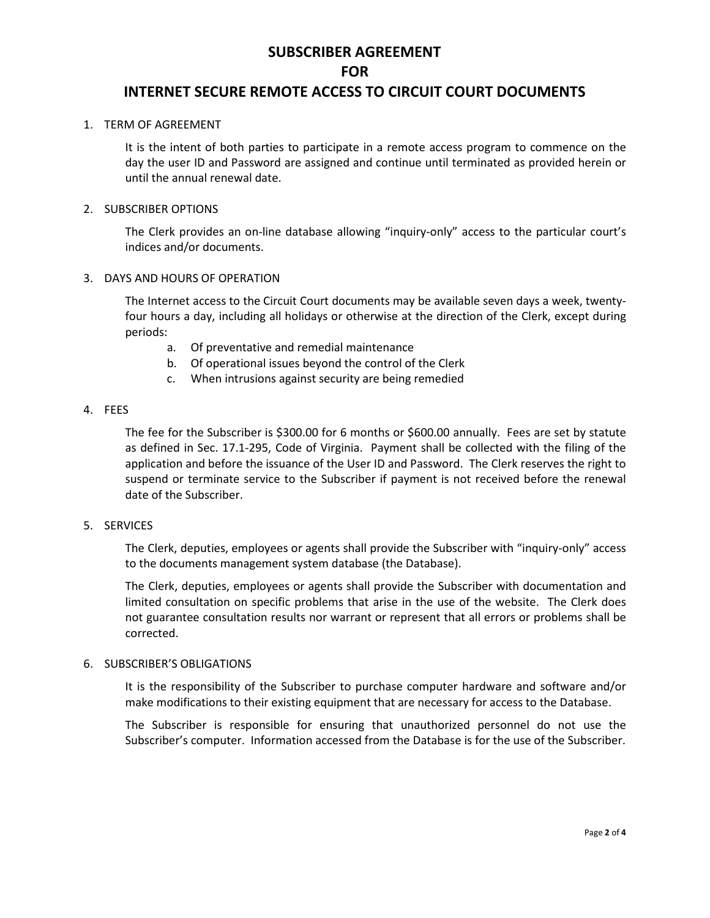# **SUBSCRIBER AGREEMENT FOR**

### **INTERNET SECURE REMOTE ACCESS TO CIRCUIT COURT DOCUMENTS**

#### 1. TERM OF AGREEMENT

It is the intent of both parties to participate in a remote access program to commence on the day the user ID and Password are assigned and continue until terminated as provided herein or until the annual renewal date.

#### 2. SUBSCRIBER OPTIONS

The Clerk provides an on-line database allowing "inquiry-only" access to the particular court's indices and/or documents.

#### 3. DAYS AND HOURS OF OPERATION

The Internet access to the Circuit Court documents may be available seven days a week, twentyfour hours a day, including all holidays or otherwise at the direction of the Clerk, except during periods:

- a. Of preventative and remedial maintenance
- b. Of operational issues beyond the control of the Clerk
- c. When intrusions against security are being remedied

#### 4. FEES

The fee for the Subscriber is \$300.00 for 6 months or \$600.00 annually. Fees are set by statute as defined in Sec. 17.1-295, Code of Virginia. Payment shall be collected with the filing of the application and before the issuance of the User ID and Password. The Clerk reserves the right to suspend or terminate service to the Subscriber if payment is not received before the renewal date of the Subscriber.

#### 5. SERVICES

The Clerk, deputies, employees or agents shall provide the Subscriber with "inquiry-only" access to the documents management system database (the Database).

The Clerk, deputies, employees or agents shall provide the Subscriber with documentation and limited consultation on specific problems that arise in the use of the website. The Clerk does not guarantee consultation results nor warrant or represent that all errors or problems shall be corrected.

#### 6. SUBSCRIBER'S OBLIGATIONS

It is the responsibility of the Subscriber to purchase computer hardware and software and/or make modifications to their existing equipment that are necessary for access to the Database.

The Subscriber is responsible for ensuring that unauthorized personnel do not use the Subscriber's computer. Information accessed from the Database is for the use of the Subscriber.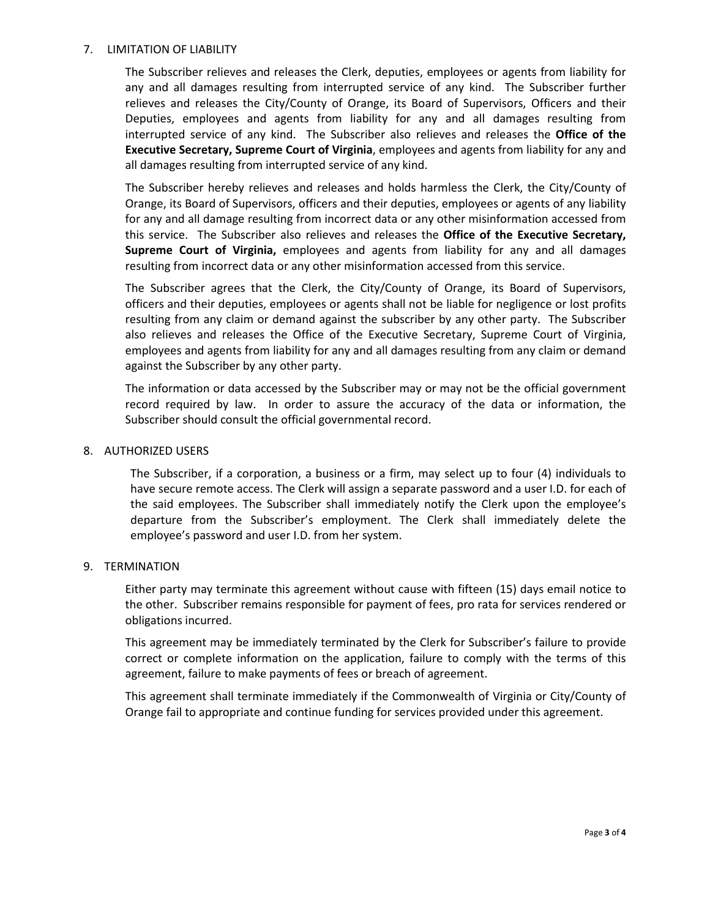#### 7. LIMITATION OF LIABILITY

The Subscriber relieves and releases the Clerk, deputies, employees or agents from liability for any and all damages resulting from interrupted service of any kind. The Subscriber further relieves and releases the City/County of Orange, its Board of Supervisors, Officers and their Deputies, employees and agents from liability for any and all damages resulting from interrupted service of any kind. The Subscriber also relieves and releases the **Office of the Executive Secretary, Supreme Court of Virginia**, employees and agents from liability for any and all damages resulting from interrupted service of any kind.

The Subscriber hereby relieves and releases and holds harmless the Clerk, the City/County of Orange, its Board of Supervisors, officers and their deputies, employees or agents of any liability for any and all damage resulting from incorrect data or any other misinformation accessed from this service. The Subscriber also relieves and releases the **Office of the Executive Secretary, Supreme Court of Virginia,** employees and agents from liability for any and all damages resulting from incorrect data or any other misinformation accessed from this service.

The Subscriber agrees that the Clerk, the City/County of Orange, its Board of Supervisors, officers and their deputies, employees or agents shall not be liable for negligence or lost profits resulting from any claim or demand against the subscriber by any other party. The Subscriber also relieves and releases the Office of the Executive Secretary, Supreme Court of Virginia, employees and agents from liability for any and all damages resulting from any claim or demand against the Subscriber by any other party.

The information or data accessed by the Subscriber may or may not be the official government record required by law. In order to assure the accuracy of the data or information, the Subscriber should consult the official governmental record.

#### 8. AUTHORIZED USERS

The Subscriber, if a corporation, a business or a firm, may select up to four (4) individuals to have secure remote access. The Clerk will assign a separate password and a user I.D. for each of the said employees. The Subscriber shall immediately notify the Clerk upon the employee's departure from the Subscriber's employment. The Clerk shall immediately delete the employee's password and user I.D. from her system.

#### 9. TERMINATION

Either party may terminate this agreement without cause with fifteen (15) days email notice to the other. Subscriber remains responsible for payment of fees, pro rata for services rendered or obligations incurred.

This agreement may be immediately terminated by the Clerk for Subscriber's failure to provide correct or complete information on the application, failure to comply with the terms of this agreement, failure to make payments of fees or breach of agreement.

This agreement shall terminate immediately if the Commonwealth of Virginia or City/County of Orange fail to appropriate and continue funding for services provided under this agreement.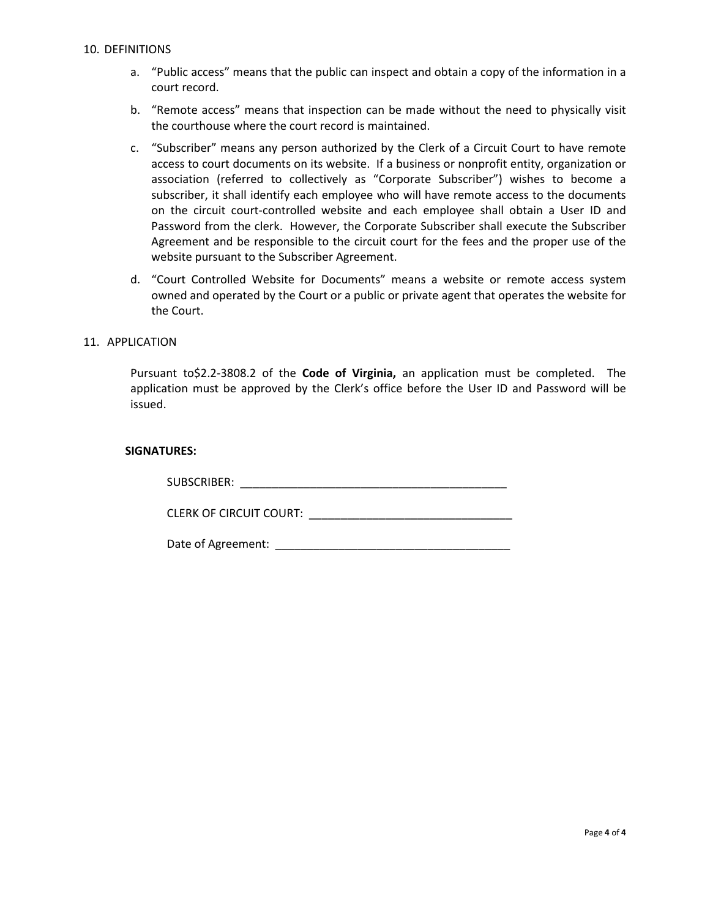- a. "Public access" means that the public can inspect and obtain a copy of the information in a court record.
- b. "Remote access" means that inspection can be made without the need to physically visit the courthouse where the court record is maintained.
- c. "Subscriber" means any person authorized by the Clerk of a Circuit Court to have remote access to court documents on its website. If a business or nonprofit entity, organization or association (referred to collectively as "Corporate Subscriber") wishes to become a subscriber, it shall identify each employee who will have remote access to the documents on the circuit court-controlled website and each employee shall obtain a User ID and Password from the clerk. However, the Corporate Subscriber shall execute the Subscriber Agreement and be responsible to the circuit court for the fees and the proper use of the website pursuant to the Subscriber Agreement.
- d. "Court Controlled Website for Documents" means a website or remote access system owned and operated by the Court or a public or private agent that operates the website for the Court.

#### 11. APPLICATION

Pursuant to\$2.2-3808.2 of the **Code of Virginia,** an application must be completed. The application must be approved by the Clerk's office before the User ID and Password will be issued.

#### **SIGNATURES:**

| SUBSCRIBER: |  |
|-------------|--|
|             |  |

CLERK OF CIRCUIT COURT: \_\_\_\_\_\_\_\_\_\_\_\_\_\_\_\_\_\_\_\_\_\_\_\_\_\_\_\_\_\_\_\_

Date of Agreement: \_\_\_\_\_\_\_\_\_\_\_\_\_\_\_\_\_\_\_\_\_\_\_\_\_\_\_\_\_\_\_\_\_\_\_\_\_